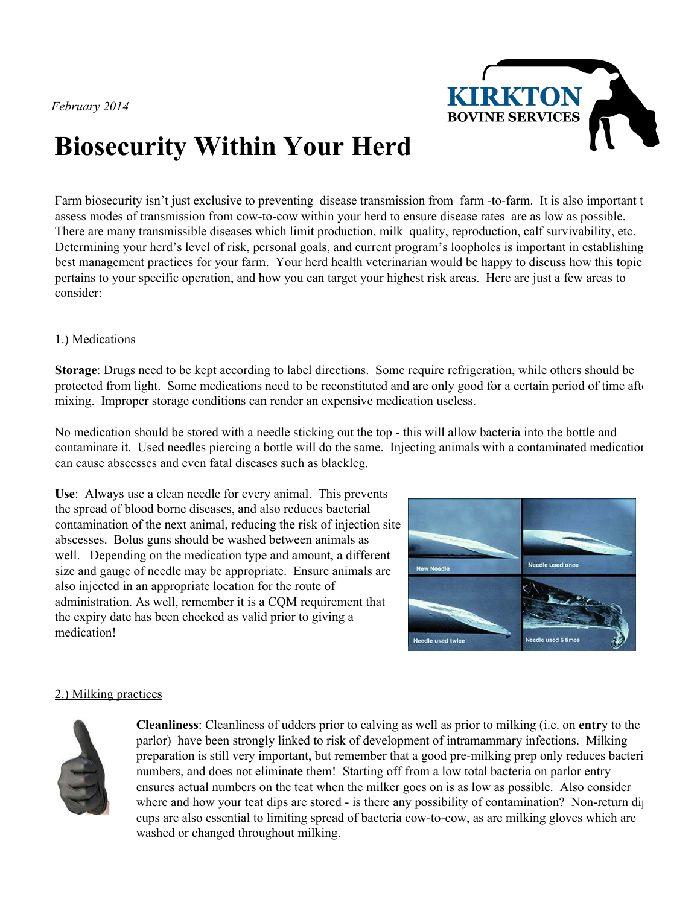*February 2014*



# **Biosecurity Within Your Herd**

Farm biosecurity isn't just exclusive to preventing disease transmission from farm -to-farm. It is also important t assess modes of transmission from cow-to-cow within your herd to ensure disease rates are as low as possible. There are many transmissible diseases which limit production, milk quality, reproduction, calf survivability, etc. Determining your herd's level of risk, personal goals, and current program's loopholes is important in establishing best management practices for your farm. Your herd health veterinarian would be happy to discuss how this topic pertains to your specific operation, and how you can target your highest risk areas. Here are just a few areas to consider:

### 1.) Medications

**Storage**: Drugs need to be kept according to label directions. Some require refrigeration, while others should be protected from light. Some medications need to be reconstituted and are only good for a certain period of time after mixing. Improper storage conditions can render an expensive medication useless.

No medication should be stored with a needle sticking out the top - this will allow bacteria into the bottle and contaminate it. Used needles piercing a bottle will do the same. Injecting animals with a contaminated medication can cause abscesses and even fatal diseases such as blackleg.

**Use**: Always use a clean needle for every animal. This prevents the spread of blood borne diseases, and also reduces bacterial contamination of the next animal, reducing the risk of injection site abscesses. Bolus guns should be washed between animals as well. Depending on the medication type and amount, a different size and gauge of needle may be appropriate. Ensure animals are also injected in an appropriate location for the route of administration. As well, remember it is a CQM requirement that the expiry date has been checked as valid prior to giving a medication!



## 2.) Milking practices



**Cleanliness**: Cleanliness of udders prior to calving as well as prior to milking (i.e. on **entr**y to the parlor) have been strongly linked to risk of development of intramammary infections. Milking preparation is still very important, but remember that a good pre-milking prep only reduces bacteri numbers, and does not eliminate them! Starting off from a low total bacteria on parlor entry ensures actual numbers on the teat when the milker goes on is as low as possible. Also consider where and how your teat dips are stored - is there any possibility of contamination? Non-return dip cups are also essential to limiting spread of bacteria cow-to-cow, as are milking gloves which are washed or changed throughout milking.